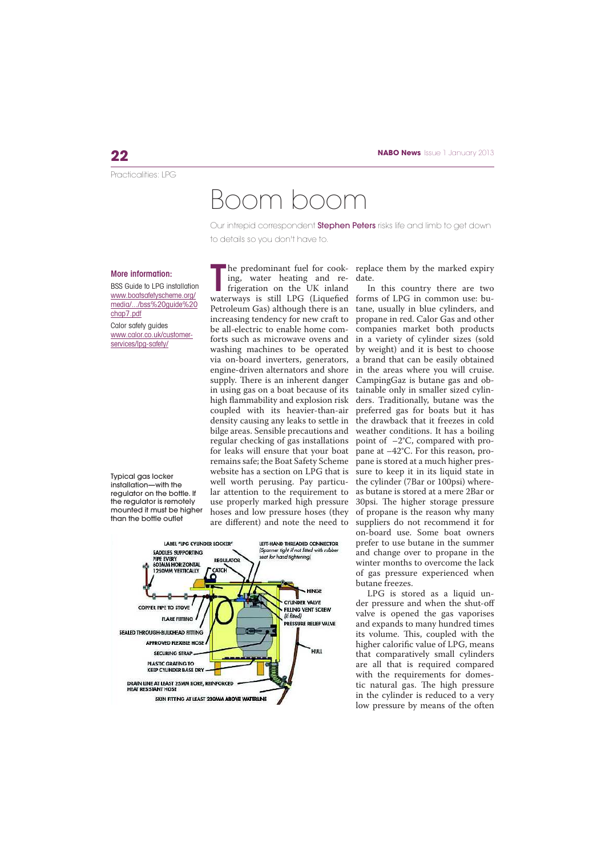Practicalities: LPG

## Boom boom

Our intrepid correspondent **Stephen Peters** risks life and limb to get down to details so you don't have to.

## More information:

BSS Guide to LPG installation www.boatsafetyscheme.org/ media/.../bss%20guide%20 chap7.pdf Calor safety guides www.calor.co.uk/customerservices/lpg-safety/

Typical gas locker installation—with the regulator on the bottle. If the regulator is remotely mounted it must be higher than the bottle outlet

T ing, water heating and refrigeration on the UK inland Petroleum Gas) although there is an increasing tendency for new craft to be all-electric to enable home comforts such as microwave ovens and via on-board inverters, generators, engine-driven alternators and shore supply. There is an inherent danger in using gas on a boat because of its high flammability and explosion risk coupled with its heavier-than-air density causing any leaks to settle in bilge areas. Sensible precautions and regular checking of gas installations for leaks will ensure that your boat remains safe; the Boat Safety Scheme website has a section on LPG that is well worth perusing. Pay particular attention to the requirement to use properly marked high pressure hoses and low pressure hoses (they are different) and note the need to



he predominant fuel for cook-replace them by the marked expiry date.

waterways is still LPG (Liquefied forms of LPG in common use: buwashing machines to be operated by weight) and it is best to choose In this country there are two tane, usually in blue cylinders, and propane in red. Calor Gas and other companies market both products in a variety of cylinder sizes (sold a brand that can be easily obtained in the areas where you will cruise. CampingGaz is butane gas and obtainable only in smaller sized cylinders. Traditionally, butane was the preferred gas for boats but it has the drawback that it freezes in cold weather conditions. It has a boiling point of –2°C, compared with propane at –42°C. For this reason, propane is stored at a much higher pressure to keep it in its liquid state in the cylinder (7Bar or 100psi) whereas butane is stored at a mere 2Bar or 30psi. The higher storage pressure of propane is the reason why many suppliers do not recommend it for on-board use. Some boat owners prefer to use butane in the summer and change over to propane in the winter months to overcome the lack of gas pressure experienced when butane freezes.

> LPG is stored as a liquid under pressure and when the shut-off valve is opened the gas vaporises and expands to many hundred times its volume. This, coupled with the higher calorific value of LPG, means that comparatively small cylinders are all that is required compared with the requirements for domestic natural gas. The high pressure in the cylinder is reduced to a very low pressure by means of the often